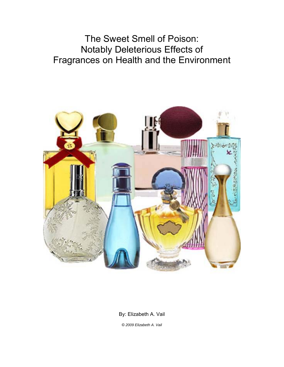The Sweet Smell of Poison: Notably Deleterious Effects of Fragrances on Health and the Environment



By: Elizabeth A. Vail

© *2009 Elizabeth A. Vail*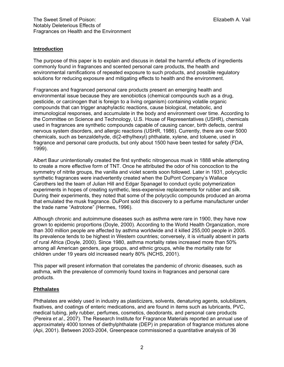## **Introduction**

The purpose of this paper is to explain and discuss in detail the harmful effects of ingredients commonly found in fragrances and scented personal care products, the health and environmental ramifications of repeated exposure to such products, and possible regulatory solutions for reducing exposure and mitigating effects to health and the environment.

Fragrances and fragranced personal care products present an emerging health and environmental issue because they are xenobiotics (chemical compounds such as a drug, pesticide, or carcinogen that is foreign to a living organism) containing volatile organic compounds that can trigger anaphylactic reactions, cause biological, metabolic, and immunological responses, and accumulate in the body and environment over time. According to the Committee on Science and Technology, U.S. House of Representatives (USHR), chemicals used in fragrances are synthetic compounds capable of causing cancer, birth defects, central nervous system disorders, and allergic reactions (USHR, 1986). Currently, there are over 5000 chemicals, such as benzaldehyde, di(2-ethylhexyl) phthalate, xylene, and toluene, used in fragrance and personal care products, but only about 1500 have been tested for safety (FDA, 1999).

Albert Baur unintentionally created the first synthetic nitrogenous musk in 1888 while attempting to create a more effective form of TNT. Once he attributed the odor of his concoction to the symmetry of nitrite groups, the vanilla and violet scents soon followed. Later in 1931, polycyclic synthetic fragrances were inadvertently created when the DuPont Company's Wallace Carothers led the team of Julian Hill and Edgar Spanagel to conduct cyclic polymerization experiments in hopes of creating synthetic, less-expensive replacements for rubber and silk. During their experiments, they noted that some of the polycyclic compounds produced an aroma that emulated the musk fragrance. DuPont sold this discovery to a perfume manufacturer under the trade name "Astrotone" (Hermes, 1996).

Although chronic and autoimmune diseases such as asthma were rare in 1900, they have now grown to epidemic proportions (Doyle, 2000). According to the World Health Organization, more than 300 million people are affected by asthma worldwide and it killed 255,000 people in 2005. Its prevalence tends to be highest in Western countries; conversely, it is virtually absent in parts of rural Africa (Doyle, 2000). Since 1980, asthma mortality rates increased more than 50% among all American genders, age groups, and ethnic groups, while the mortality rate for children under 19 years old increased nearly 80% (NCHS, 2001).

This paper will present information that correlates the pandemic of chronic diseases, such as asthma, with the prevalence of commonly found toxins in fragrances and personal care products.

#### **Phthalates**

Phthalates are widely used in industry as plasticizers, solvents, denaturing agents, solubilizers, fixatives, and coatings of enteric medications, and are found in items such as lubricants, PVC, medical tubing, jelly rubber, perfumes, cosmetics, deodorants, and personal care products (Pereira *et al*., 2007). The Research Institute for Fragrance Materials reported an annual use of approximately 4000 tonnes of diethylphthalate (DEP) in preparation of fragrance mixtures alone (Api, 2001). Between 2003-2004, Greenpeace commissioned a quantitative analysis of 36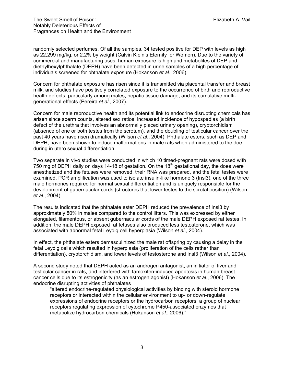randomly selected perfumes. Of all the samples, 34 tested positive for DEP with levels as high as 22,299 mg/kg, or 2.2% by weight (Calvin Klein's Eternity for Women). Due to the variety of commercial and manufacturing uses, human exposure is high and metabolites of DEP and diethylhexylphthalate (DEPH) have been detected in urine samples of a high percentage of individuals screened for phthalate exposure (Hokanson *et al*., 2006).

Concern for phthalate exposure has risen since it is transmitted via placental transfer and breast milk, and studies have positively correlated exposure to the occurrence of birth and reproductive health defects, particularly among males, hepatic tissue damage, and its cumulative multigenerational effects (Pereira *et al*., 2007).

Concern for male reproductive health and its potential link to endocrine disrupting chemicals has arisen since sperm counts, altered sex ratios, increased incidence of hypospadias (a birth defect of the urethra that involves an abnormally placed urinary opening), cryptorchidism (absence of one or both testes from the scrotum), and the doubling of testicular cancer over the past 40 years have risen dramatically (Wilson *et al*., 2004). Phthalate esters, such as DEP and DEPH, have been shown to induce malformations in male rats when administered to the doe during in utero sexual differentiation.

Two separate in vivo studies were conducted in which 10 timed-pregnant rats were dosed with 750 mg of DEPH daily on days 14-18 of gestation. On the 18<sup>th</sup> gestational day, the does were anesthetized and the fetuses were removed, their RNA was prepared, and the fetal testes were examined. PCR amplification was used to isolate insulin-like hormone 3 (Insl3), one of the three male hormones required for normal sexual differentiation and is uniquely responsible for the development of gubernacular cords (structures that lower testes to the scrotal position) (Wilson *et al*., 2004).

The results indicated that the phthalate ester DEPH reduced the prevalence of Insl3 by approximately 80% in males compared to the control litters. This was expressed by either elongated, filamentous, or absent gubernacular cords of the male DEPH exposed rat testes. In addition, the male DEPH exposed rat fetuses also produced less testosterone, which was associated with abnormal fetal Leydig cell hyperplasia (Wilson *et al*., 2004).

In effect, the phthalate esters demasculinized the male rat offspring by causing a delay in the fetal Leydig cells which resulted in hyperplasia (proliferation of the cells rather than differentiation), cryptorchidism, and lower levels of testosterone and Insl3 (Wilson *et al*., 2004).

A second study noted that DEPH acted as an androgen antagonist, an initiator of liver and testicular cancer in rats, and interfered with tamoxifen-induced apoptosis in human breast cancer cells due to its estrogenicity (as an estrogen agonist) (Hokanson *et al*., 2006). The endocrine disrupting activities of phthalates

"altered endocrine-regulated physiological activities by binding with steroid hormone receptors or interacted within the cellular environment to up- or down-regulate expressions of endocrine receptors or the hydrocarbon receptors, a group of nuclear receptors regulating expression of cytochrome P450-associated enzymes that metabolize hydrocarbon chemicals (Hokanson *et al*., 2006)."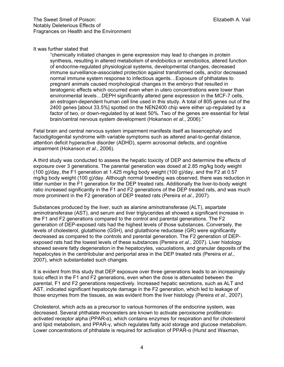It was further stated that

"chemically initiated changes in gene expression may lead to changes in protein synthesis, resulting in altered metabolism of endobiotics or xenobiotics, altered function of endocrine-regulated physiological systems, developmental changes, decreased immune surveillance-associated protection against transformed cells, and/or decreased normal immune system response to infectious agents…Exposure of phthalates to pregnant animals caused morphological changes in the embryo that resulted in teratogenic effects which occurred even when in utero concentrations were lower than environmental levels…DEPH significantly altered gene expression in the MCF-7 cells, an estrogen-dependent human cell line used in this study. A total of 805 genes out of the 2400 genes [about 33.5%] spotted on the NEN2400 chip were either up-regulated by a factor of two, or down-regulated by at least 50%. Two of the genes are essential for fetal brain/central nervous system development (Hokanson *et al*., 2006)."

Fetal brain and central nervous system impairment manifests itself as lissencephaly and faciodigitogenital syndrome with variable symptoms such as altered anal-to-genital distance, attention deficit hyperactive disorder (ADHD), sperm acrosomal defects, and cognitive impairment (Hokanson *et al*., 2006).

A third study was conducted to assess the hepatic toxicity of DEP and determine the effects of exposure over 3 generations. The parental generation was dosed at 2.85 mg/kg body weight (100 g)/day, the F1 generation at 1.425 mg/kg body weight (100 g)/day, and the F2 at 0.57 mg/kg body weight (100 g)/day. Although normal breeding was observed, there was reduction in litter number in the F1 generation for the DEP treated rats. Additionally the liver-to-body weight ratio increased significantly in the F1 and F2 generations of the DEP treated rats, and was much more prominent in the F2 generation of DEP treated rats (Pereira *et al*., 2007).

Substances produced by the liver, such as alanine aminotransferase (ALT), aspartate aminotransferase (AST), and serum and liver triglycerides all showed a significant increase in the F1 and F2 generations compared to the control and parental generations. The F2 generation of DEP-exposed rats had the highest levels of those substances. Conversely, the levels of cholesterol, glutathione (GSH), and glutathione reductase (GR) were significantly decreased as compared to the controls and parental generation. The F2 generation of DEPexposed rats had the lowest levels of these substances (Pereira *et al*., 2007). Liver histology showed severe fatty degeneration in the hepatocytes, vacuolations, and granular deposits of the hepatocytes in the centrilobular and periportal area in the DEP treated rats (Pereira *et al*., 2007), which substantiated such changes.

It is evident from this study that DEP exposure over three generations leads to an increasingly toxic effect in the F1 and F2 generations, even when the dose is attenuated between the parental, F1 and F2 generations respectively. Increased hepatic secretions, such as ALT and AST, indicated significant hepatocyte damage in the F2 generation, which led to leakage of those enzymes from the tissues, as was evident from the liver histology (Pereira *et al*., 2007).

Cholesterol, which acts as a precursor to various hormones of the endocrine system, was decreased. Several phthalate monoesters are known to activate peroxisome proliferatoractivated receptor alpha (PPAR-α), which contains enzymes for respiration and for cholesterol and lipid metabolism, and PPAR-γ, which regulates fatty acid storage and glucose metabolism. Lower concentrations of phthalate is required for activation of PPAR-α (Hurst and Waxman,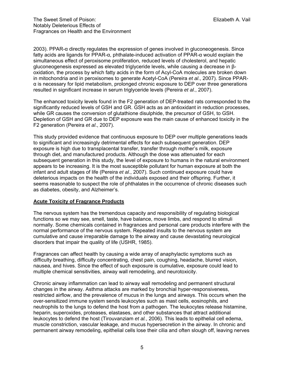2003). PPAR-α directly regulates the expression of genes involved in gluconeogenesis. Since fatty acids are ligands for PPAR-α, phthalate-induced activation of PPAR-α would explain the simultaneous effect of peroxisome proliferation, reduced levels of cholesterol, and hepatic gluconeogenesis expressed as elevated triglyceride levels, while causing a decrease in βoxidation, the process by which fatty acids in the form of Acyl-CoA molecules are broken down in mitochondria and in peroxisomes to generate Acetyl-CoA (Pereira *et al*., 2007). Since PPARα is necessary for lipid metabolism, prolonged chronic exposure to DEP over three generations resulted in significant increase in serum triglyceride levels (Pereira *et al*., 2007).

The enhanced toxicity levels found in the F2 generation of DEP-treated rats corresponded to the significantly reduced levels of GSH and GR. GSH acts as an antioxidant in reduction processes, while GR causes the conversion of glutathione disulphide, the precursor of GSH, to GSH. Depletion of GSH and GR due to DEP exposure was the main cause of enhanced toxicity in the F2 generation (Pereira *et al*., 2007).

This study provided evidence that continuous exposure to DEP over multiple generations leads to significant and increasingly detrimental effects for each subsequent generation. DEP exposure is high due to transplacental transfer, transfer through mother's milk, exposure through diet, and manufactured products. Although the dose was attenuated for each subsequent generation in this study, the level of exposure to humans in the natural environment appears to be increasing. It is the most susceptible pollutant for human exposure at both the infant and adult stages of life (Pereira *et al*., 2007). Such continued exposure could have deleterious impacts on the health of the individuals exposed and their offspring. Further, it seems reasonable to suspect the role of phthalates in the occurrence of chronic diseases such as diabetes, obesity, and Alzheimer's.

# **Acute Toxicity of Fragrance Products**

The nervous system has the tremendous capacity and responsibility of regulating biological functions so we may see, smell, taste, have balance, move limbs, and respond to stimuli normally. Some chemicals contained in fragrances and personal care products interfere with the normal performance of the nervous system. Repeated insults to the nervous system are cumulative and cause irreparable damage to the airway and cause devastating neurological disorders that impair the quality of life (USHR, 1985).

Fragrances can affect health by causing a wide array of anaphylactic symptoms such as difficulty breathing, difficulty concentrating, chest pain, coughing, headache, blurred vision, nausea, and hives. Since the effect of such exposure is cumulative, exposure could lead to multiple chemical sensitivities, airway wall remodeling, and neurotoxicity.

Chronic airway inflammation can lead to airway wall remodeling and permanent structural changes in the airway. Asthma attacks are marked by bronchial hyper-responsiveness, restricted airflow, and the prevalence of mucus in the lungs and airways. This occurs when the over-sensitized immune system sends leukocytes such as mast cells, eosinophils, and neutrophils to the lungs to defend the host from a pathogen. The leukocytes release histamine, heparin, superoxides, proteases, elastases, and other substances that attract additional leukocytes to defend the host (Tirouvanziam *et al.*, 2006). This leads to epithelial cell edema, muscle constriction, vascular leakage, and mucus hypersecretion in the airway. In chronic and permanent airway remodeling, epithelial cells lose their cilia and often slough off, leaving nerves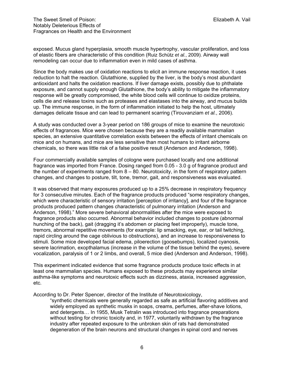exposed. Mucus gland hyperplasia, smooth muscle hypertrophy, vascular proliferation, and loss of elastic fibers are characteristic of this condition (Ruiz Schütz *et al.*, 2009). Airway wall remodeling can occur due to inflammation even in mild cases of asthma.

Since the body makes use of oxidation reactions to elicit an immune response reaction, it uses reduction to halt the reaction. Glutathione, supplied by the liver, is the body's most abundant antioxidant and halts the oxidation reactions. If liver damage exists, possibly due to phthalate exposure, and cannot supply enough Glutathione, the body's ability to mitigate the inflammatory response will be greatly compromised, the white blood cells will continue to oxidize proteins, cells die and release toxins such as proteases and elastases into the airway, and mucus builds up. The immune response, in the form of inflammation initiated to help the host, ultimately damages delicate tissue and can lead to permanent scarring (Tirouvanziam *et al.*, 2006).

A study was conducted over a 3-year period on 186 groups of mice to examine the neurotoxic effects of fragrances. Mice were chosen because they are a readily available mammalian species, an extensive quantitative correlation exists between the effects of irritant chemicals on mice and on humans, and mice are less sensitive than most humans to irritant airborne chemicals, so there was little risk of a false positive result (Anderson and Anderson, 1998).

Four commercially available samples of cologne were purchased locally and one additional fragrance was imported from France. Dosing ranged from 0.05 - 3.0 g of fragrance product and the number of experiments ranged from 8 – 80. Neurotoxicity, in the form of respiratory pattern changes, and changes to posture, tilt, tone, tremor, gait, and responsiveness was evaluated.

It was observed that many exposures produced up to a 25% decrease in respiratory frequency for 3 consecutive minutes. Each of the fragrance products produced "some respiratory changes, which were characteristic of sensory irritation [perception of irritancy], and four of the fragrance products produced pattern changes characteristic of pulmonary irritation (Anderson and Anderson, 1998)." More severe behavioral abnormalities after the mice were exposed to fragrance products also occurred. Abnormal behavior included changes to posture (abnormal hunching of the back), gait (dragging it's abdomen or placing feet improperly), muscle tone, tremors, abnormal repetitive movements (for example: lip smacking, eye, ear, or tail twitching, rapid circling around the cage oblivious to obstructions), and an increase to responsiveness to stimuli. Some mice developed facial edema, piloerection (goosebumps), localized cyanosis, severe lacrimation, exopthalamus (increase in the volume of the tissue behind the eyes), severe vocalization, paralysis of 1 or 2 limbs, and overall, 5 mice died (Anderson and Anderson, 1998).

This experiment indicated evidence that some fragrance products produce toxic effects in at least one mammalian species. Humans exposed to these products may experience similar asthma-like symptoms and neurotoxic effects such as dizziness, ataxia, increased aggression, etc.

According to Dr. Peter Spencer, director of the Institute of Neurotoxicology,

"synthetic chemicals were generally regarded as safe as artificial flavoring additives and widely employed as synthetic musks in soaps, creams, perfumes, after-shave lotions, and detergents… In 1955, Musk Tetralin was introduced into fragrance preparations without testing for chronic toxicity and, in 1977, voluntarily withdrawn by the fragrance industry after repeated exposure to the unbroken skin of rats had demonstrated degeneration of the brain neurons and structural changes in spinal cord and nerves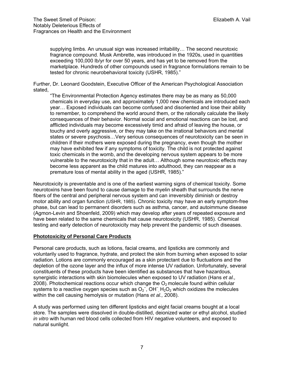supplying limbs. An unusual sign was increased irritability… The second neurotoxic fragrance compound. Musk Ambrette, was introduced in the 1920s, used in quantities exceeding 100,000 lb/yr for over 50 years, and has yet to be removed from the marketplace. Hundreds of other compounds used in fragrance formulations remain to be tested for chronic neurobehavioral toxicity (USHR, 1985)."

Further, Dr. Leonard Goodstein, Executive Officer of the American Psychological Association stated,

"The Environmental Protection Agency estimates there may be as many as 50,000 chemicals in everyday use, and approximately 1,000 new chemicals are introduced each year… Exposed individuals can become confused and disoriented and lose their ability to remember, to comprehend the world around them, or the rationally calculate the likely consequences of their behavior. Normal social and emotional reactions can be lost, and afflicted individuals may become excessively timid and afraid of leaving the house, or touchy and overly aggressive, or they may take on the irrational behaviors and mental states or severe psychosis…Very serious consequences of neurotoxicity can be seen in children if their mothers were exposed during the pregnancy, even though the mother may have exhibited few if any symptoms of toxicity. The child is not protected against toxic chemicals in the womb, and the developing nervous system appears to be more vulnerable to the neurotoxicity that in the adult… Although some neurotoxic effects may become less apparent as the child matures into adulthood, they can reappear as a premature loss of mental ability in the aged (USHR, 1985)."

Neurotoxicity is preventable and is one of the earliest warning signs of chemical toxicity. Some neurotoxins have been found to cause damage to the myelin sheath that surrounds the nerve fibers of the central and peripheral nervous system and can irreversibly diminish or destroy motor ability and organ function (USHR, 1985). Chronic toxicity may have an early symptom-free phase, but can lead to permanent disorders such as asthma, cancer, and autoimmune disease (Agmon-Levin and Shoenfeld, 2009) which may develop after years of repeated exposure and have been related to the same chemicals that cause neurotoxicity (USHR, 1985). Chemical testing and early detection of neurotoxicity may help prevent the pandemic of such diseases.

# **Phototoxicity of Personal Care Products**

Personal care products, such as lotions, facial creams, and lipsticks are commonly and voluntarily used to fragrance, hydrate, and protect the skin from burning when exposed to solar radiation. Lotions are commonly encouraged as a skin protectant due to fluctuations and the depletion of the ozone layer and the influx of more intense UV radiation. Unfortunately, several constituents of these products have been identified as substances that have hazardous, synergistic interactions with skin biomolecules when exposed to UV radiation (Hans *et al.,* 2008). Photochemical reactions occur which change the  $O<sub>2</sub>$  molecule found within cellular systems to a reactive oxygen species such as  $O_2^-$ , OH<sup>-</sup>, H<sub>2</sub>O<sub>2</sub> which oxidizes the molecules within the cell causing hemolysis or mutation (Hans *et al.,* 2008).

A study was performed using ten different lipsticks and eight facial creams bought at a local store. The samples were dissolved in double-distilled, deionized water or ethyl alcohol, studied *in vitro* with human red blood cells collected from HIV negative volunteers, and exposed to natural sunlight.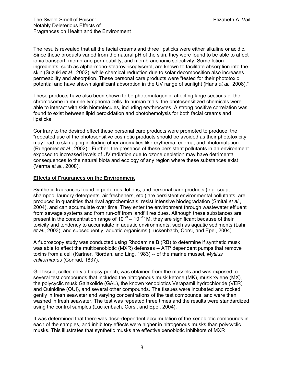The results revealed that all the facial creams and three lipsticks were either alkaline or acidic. Since these products varied from the natural pH of the skin, they were found to be able to affect ionic transport, membrane permeability, and membrane ionic selectivity. Some lotion ingredients, such as alpha-mono-stearoyl-isoglyserol, are known to facilitate absorption into the skin (Suzuki *et al*., 2002), while chemical reduction due to solar decomposition also increases permeability and absorption. These personal care products were "tested for their phototoxic potential and have shown significant absorption in the UV range of sunlight (Hans *et al.,* 2008)."

These products have also been shown to be photomutagenic, affecting large sections of the chromosome in murine lymphoma cells. In human trials, the photosensitized chemicals were able to interact with skin biomolecules, including erythrocytes. A strong positive correlation was found to exist between lipid peroxidation and photohemolysis for both facial creams and lipsticks.

Contrary to the desired effect these personal care products were promoted to produce, the "repeated use of the photosensitive cosmetic products should be avoided as their phototoxicity may lead to skin aging including other anomalies like erythema, edema, and photomutation (Ruegemer *et al*., 2002)." Further, the presence of these persistent pollutants in an environment exposed to increased levels of UV radiation due to ozone depletion may have detrimental consequences to the natural biota and ecology of any region where these substances exist (Verma *et al*., 2008).

# **Effects of Fragrances on the Environment**

Synthetic fragrances found in perfumes, lotions, and personal care products (e.g. soap, shampoo, laundry detergents, air fresheners, etc.) are persistent environmental pollutants, are produced in quantities that rival agrochemicals, resist intensive biodegradation (Smital *et al.*, 2004), and can accumulate over time. They enter the environment through wastewater effluent from sewage systems and from run-off from landfill residues. Although these substances are present in the concentration range of 10 $-9 - 10 - 12$  M, they are significant because of their toxicity and tendency to accumulate in aquatic environments, such as aquatic sediments (Lahr *et al.*, 2003), and subsequently, aquatic organisms (Luckenbach, Corsi, and Epel, 2004).

A fluoroscopy study was conducted using Rhodamine B (RB) to determine if synthetic musk was able to affect the multixenobiotic (MXR) defenses -- ATP dependent pumps that remove toxins from a cell (Kartner, Riordan, and Ling, 1983) -- of the marine mussel, *Mytilus californianus* (Conrad, 1837).

Gill tissue, collected via biopsy punch, was obtained from the mussels and was exposed to several test compounds that included the nitrogenous musk ketone (MK), musk xylene (MX), the polycyclic musk Galaxolide (GAL), the known xenobiotics Verapamil hydrochloride (VER) and Quinidine (QUI), and several other compounds. The tissues were incubated and rocked gently in fresh seawater and varying concentrations of the test compounds, and were then washed in fresh seawater. The test was repeated three times and the results were standardized using the control samples (Luckenbach, Corsi, and Epel, 2004).

It was determined that there was dose-dependent accumulation of the xenobiotic compounds in each of the samples, and inhibitory effects were higher in nitrogenous musks than polycyclic musks. This illustrates that synthetic musks are effective xenobiotic inhibitors of MXR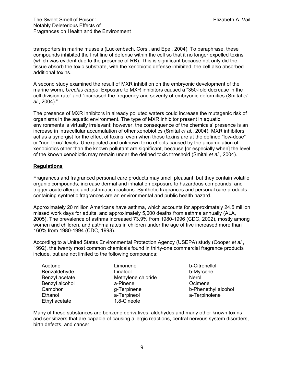transporters in marine mussels (Luckenbach, Corsi, and Epel, 2004). To paraphrase, these compounds inhibited the first line of defense within the cell so that it no longer expelled toxins (which was evident due to the presence of RB). This is significant because not only did the tissue absorb the toxic substrate, with the xenobiotic defense inhibited, the cell also absorbed additional toxins.

A second study examined the result of MXR inhibition on the embryonic development of the marine worm, *Urechis caupo*. Exposure to MXR inhibitors caused a "350-fold decrease in the cell division rate" and "increased the frequency and severity of embryonic deformities (Smital *et al.*, 2004)."

The presence of MXR inhibitors in already polluted waters could increase the mutagenic risk of organisms in the aquatic environment. The type of MXR inhibitor present in aquatic environments is virtually irrelevant; however, the consequence of the chemicals' presence is an increase in intracellular accumulation of other xenobiotics (Smital *et al.*, 2004). MXR inhibitors act as a synergist for the effect of toxins, even when those toxins are at the defined "low-dose" or "non-toxic" levels. Unexpected and unknown toxic effects caused by the accumulation of xenobiotics other than the known pollutant are significant, because [or especially when] the level of the known xenobiotic may remain under the defined toxic threshold (Smital *et al.*, 2004).

# **Regulations**

Fragrances and fragranced personal care products may smell pleasant, but they contain volatile organic compounds, increase dermal and inhalation exposure to hazardous compounds, and trigger acute allergic and asthmatic reactions. Synthetic fragrances and personal care products containing synthetic fragrances are an environmental and public health hazard.

Approximately 20 million Americans have asthma, which accounts for approximately 24.5 million missed work days for adults, and approximately 5,000 deaths from asthma annually (ALA, 2005). The prevalence of asthma increased 73.9% from 1980-1996 (CDC, 2002), mostly among women and children, and asthma rates in children under the age of five increased more than 160% from 1980-1994 (CDC, 1998).

According to a United States Environmental Protection Agency (USEPA) study (Cooper *et al*., 1992), the twenty most common chemicals found in thirty-one commercial fragrance products include, but are not limited to the following compounds:

| Limonene           |
|--------------------|
| Linalool           |
| Methylene chloride |
| a-Pinene           |
| g-Terpinene        |
| a-Terpineol        |
| 1,8-Cineole        |
|                    |

b-Citronellol b-Myrcene Nerol Ocimene b-Phenethyl alcohol a-Terpinolene

Many of these substances are benzene derivatives, aldehydes and many other known toxins and sensitizers that are capable of causing allergic reactions, central nervous system disorders, birth defects, and cancer.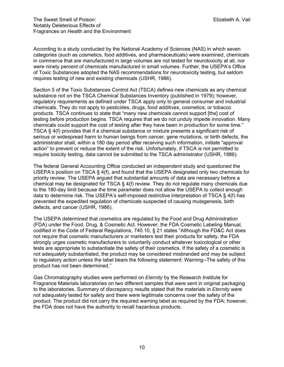According to a study conducted by the National Academy of Sciences (NAS) in which seven categories (such as cosmetics, food additives, and pharmaceuticals) were examined, chemicals in commerce that are manufactured in large volumes are not tested for neurotoxicity at all, nor were ninety percent of chemicals manufactured in small volumes. Further, the USEPA's Office of Toxic Substances adopted the NAS recommendations for neurotoxicity testing, but seldom requires testing of new and existing chemicals (USHR, 1986).

Section 5 of the Toxic Substances Control Act (TSCA) defines new chemicals as any chemical substance not on the TSCA Chemical Substances Inventory (published in 1979); however, regulatory requirements as defined under TSCA apply only to general consumer and industrial chemicals. They do not apply to pesticides, drugs, food additives, cosmetics, or tobacco products. TSCA continues to state that "many new chemicals cannot support [the] cost of testing before production begins. TSCA requires that we do not unduly impede innovation. Many chemicals could support the cost of testing after they have been in production for some time." TSCA § 4(f) provides that if a chemical substance or mixture presents a significant risk of serious or widespread harm to human beings from cancer, gene mutations, or birth defects, the administrator shall, within a 180 day period after receiving such information, initiate "approval action" to prevent or reduce the extent of the risk. Unfortunately, if TSCA is not permitted to require toxicity testing, data cannot be submitted to the TSCA administrator (USHR, 1986).

The federal General Accounting Office conducted an independent study and questioned the USEPA's position on TSCA § 4(f), and found that the USEPA designated only two chemicals for priority review. The USEPA argued that substantial amounts of data are necessary before a chemical may be designated for TSCA  $\S 4(f)$  review. They do not regulate many chemicals due to the 180-day limit because the time parameter does not allow the USEPA to collect enough data to determine risk. The USEPA's self-imposed restrictive interpretation of TSCA § 4(f) has prevented the expedited regulation of chemicals suspected of causing mutagenesis, birth defects, and cancer (USHR, 1986).

The USEPA determined that cosmetics are regulated by the Food and Drug Administration (FDA) under the Food, Drug, & Cosmetic Act. However, the FDA Cosmetic Labeling Manual, codified in the Code of Federal Regulations, 740.10, § 21 states "Although the FD&C Act does not require that cosmetic manufacturers or marketers test their products for safety, the FDA strongly urges cosmetic manufacturers to voluntarily conduct whatever toxicological or other tests are appropriate to substantiate the safety of their cosmetics. If the safety of a cosmetic is not adequately substantiated, the product may be considered misbranded and may be subject to regulatory action unless the label bears the following statement: Warning--The safety of this product has not been determined."

Gas Chromatography studies were performed on *Eternity* by the Research Institute for Fragrance Materials laboratories on two different samples that were sent in original packaging to the laboratories. Summary of discrepancy results stated that the materials in *Eternity* were not adequately tested for safety and there were legitimate concerns over the safety of the product. The product did not carry the required warning label as required by the FDA; however, the FDA does not have the authority to recall hazardous products.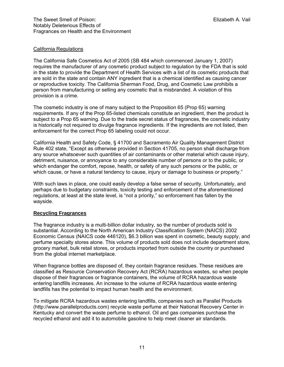### California Regulations

The California Safe Cosmetics Act of 2005 (SB 484 which commenced January 1, 2007) requires the manufacturer of any cosmetic product subject to regulation by the FDA that is sold in the state to provide the Department of Health Services with a list of its cosmetic products that are sold in the state and contain ANY ingredient that is a chemical identified as causing cancer or reproductive toxicity. The California Sherman Food, Drug, and Cosmetic Law prohibits a person from manufacturing or selling any cosmetic that is misbranded. A violation of this provision is a crime.

The cosmetic industry is one of many subject to the Proposition 65 (Prop 65) warning requirements. If any of the Prop 65-listed chemicals constitute an ingredient, then the product is subject to a Prop 65 warning. Due to the trade secret status of fragrances, the cosmetic industry is historically not required to divulge fragrance ingredients. If the ingredients are not listed, then enforcement for the correct Prop 65 labeling could not occur.

California Health and Safety Code, § 41700 and Sacramento Air Quality Management District Rule 402 state, "Except as otherwise provided in Section 41705, no person shall discharge from any source whatsoever such quantities of air contaminants or other material which cause injury, detriment, nuisance, or annoyance to any considerable number of persons or to the public, or which endanger the comfort, repose, health, or safety of any such persons or the public, or which cause, or have a natural tendency to cause, injury or damage to business or property."

With such laws in place, one could easily develop a false sense of security. Unfortunately, and perhaps due to budgetary constraints, toxicity testing and enforcement of the aforementioned regulations, at least at the state level, is "not a priority," so enforcement has fallen by the wayside.

# **Recycling Fragrances**

The fragrance industry is a multi-billion dollar industry, so the number of products sold is substantial. According to the North American Industry Classification System (NAICS) 2002 Economic Census (NAICS code 446120), \$6.3 billion was spent in cosmetic, beauty supply, and perfume specialty stores alone. This volume of products sold does not include department store, grocery market, bulk retail stores, or products imported from outside the country or purchased from the global internet marketplace.

When fragrance bottles are disposed of, they contain fragrance residues. These residues are classified as Resource Conservation Recovery Act (RCRA) hazardous wastes, so when people dispose of their fragrances or fragrance containers, the volume of RCRA hazardous waste entering landfills increases. An increase to the volume of RCRA hazardous waste entering landfills has the potential to impact human health and the environment.

To mitigate RCRA hazardous wastes entering landfills, companies such as Parallel Products (http://www.parallelproducts.com) recycle waste perfume at their National Recovery Center in Kentucky and convert the waste perfume to ethanol. Oil and gas companies purchase the recycled ethanol and add it to automobile gasoline to help meet cleaner air standards.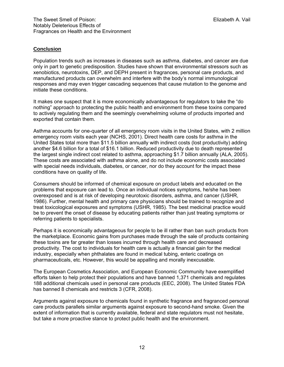# **Conclusion**

Population trends such as increases in diseases such as asthma, diabetes, and cancer are due only in part to genetic predisposition. Studies have shown that environmental stressors such as xenobiotics, neurotoxins, DEP, and DEPH present in fragrances, personal care products, and manufactured products can overwhelm and interfere with the body's normal immunological responses and may even trigger cascading sequences that cause mutation to the genome and initiate these conditions.

It makes one suspect that it is more economically advantageous for regulators to take the "do nothing" approach to protecting the public health and environment from these toxins compared to actively regulating them and the seemingly overwhelming volume of products imported and exported that contain them.

Asthma accounts for one-quarter of all emergency room visits in the United States, with 2 million emergency room visits each year (NCHS, 2001). Direct health care costs for asthma in the United States total more than \$11.5 billion annually with indirect costs (lost productivity) adding another \$4.6 billion for a total of \$16.1 billion. Reduced productivity due to death represented the largest single indirect cost related to asthma, approaching \$1.7 billion annually (ALA, 2005). These costs are associated with asthma alone, and do not include economic costs associated with special needs individuals, diabetes, or cancer, nor do they account for the impact these conditions have on quality of life.

Consumers should be informed of chemical exposure on product labels and educated on the problems that exposure can lead to. Once an individual notices symptoms, he/she has been overexposed and is at risk of developing neurotoxic disorders, asthma, and cancer (USHR, 1986). Further, mental health and primary care physicians should be trained to recognize and treat toxicological exposures and symptoms (USHR, 1985). The best medicinal practice would be to prevent the onset of disease by educating patients rather than just treating symptoms or referring patients to specialists.

Perhaps it is economically advantageous for people to be ill rather than ban such products from the marketplace. Economic gains from purchases made through the sale of products containing these toxins are far greater than losses incurred through health care and decreased productivity. The cost to individuals for health care is actually a financial gain for the medical industry, especially when phthalates are found in medical tubing, enteric coatings on pharmaceuticals, etc. However, this would be appalling and morally inexcusable.

The European Cosmetics Association, and European Economic Community have exemplified efforts taken to help protect their populations and have banned 1,371 chemicals and regulates 188 additional chemicals used in personal care products (EEC, 2008). The United States FDA has banned 8 chemicals and restricts 3 (CFR, 2008).

Arguments against exposure to chemicals found in synthetic fragrance and fragranced personal care products parallels similar arguments against exposure to second-hand smoke. Given the extent of information that is currently available, federal and state regulators must not hesitate, but take a more proactive stance to protect public health and the environment.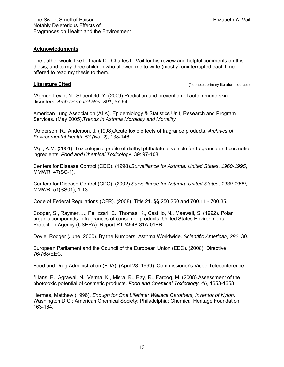#### **Acknowledgments**

The author would like to thank Dr. Charles L. Vail for his review and helpful comments on this thesis, and to my three children who allowed me to write (mostly) uninterrupted each time I offered to read my thesis to them.

**Literature Cited** (\* denotes primary literature sources)

\*Agmon-Levin, N., Shoenfeld, Y. (2009).Prediction and prevention of autoimmune skin disorders. *Arch Dermatol Res*. *301*, 57-64.

American Lung Association (ALA), Epidemiology & Statistics Unit, Research and Program Services. (May 2005).*Trends in Asthma Morbidity and Mortality*

\*Anderson, R., Anderson, J. (1998).Acute toxic effects of fragrance products. *Archives of Environmental Health*. *53 (No. 2)*, 138-146.

\*Api, A.M. (2001). Toxicological profile of diethyl phthalate: a vehicle for fragrance and cosmetic ingredients. *Food and Chemical Toxicol*ogy. 39: 97-108.

Centers for Disease Control (CDC). (1998).*Surveillance for Asthma: United States*, *1960-1995*, MMWR: 47(SS-1).

Centers for Disease Control (CDC). (2002).*Surveillance for Asthma: United States*, *1980-1999*, MMWR: 51(SS01), 1-13.

Code of Federal Regulations (CFR). (2008). Title 21. §§ 250.250 and 700.11 - 700.35.

Cooper, S., Raymer, J., Pellizzari, E., Thomas, K., Castillo, N., Maewall, S. (1992). Polar organic compounds in fragrances of consumer products. United States Environmental Protection Agency (USEPA). Report RTI/4948-31A-01FR.

Doyle, Rodger (June, 2000). By the Numbers: Asthma Worldwide. *Scientific American*, *282*, 30.

European Parliament and the Council of the European Union (EEC). (2008). Directive 76/768/EEC.

Food and Drug Administration (FDA). (April 28, 1999). Commissioner's Video Teleconference.

\*Hans, R., Agrawal, N., Verma, K., Misra, R., Ray, R., Farooq, M. (2008).Assessment of the phototoxic potential of cosmetic products. *Food and Chemical Toxicology*. *46*, 1653-1658.

Hermes, Matthew (1996). *Enough for One Lifetime: Wallace Carothers, Inventor of Nylon*. Washington D.C.: American Chemical Society; Philadelphia: Chemical Heritage Foundation, 163-164.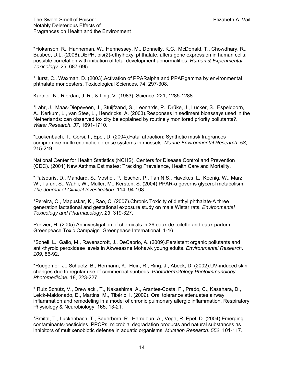\*Hokanson, R., Hanneman, W., Hennessey, M., Donnelly, K.C., McDonald, T., Chowdhary, R., Busbee, D.L. (2006).DEPH, bis(2)-ethylhexyl phthalate, alters gene expression in human cells: possible correlation with initiation of fetal development abnormalities. *Human & Experimental Toxicology*. 25: 687-695.

\*Hurst, C., Waxman, D. (2003).Activation of PPARalpha and PPARgamma by environmental phthalate monoesters. Toxicological Sciences. 74, 297-308.

Kartner, N., Riordan, J. R., & Ling, V. (1983). Science, 221, 1285-1288.

\*Lahr, J., Maas-Diepeveen, J., Stuijfzand, S., Leonards, P., Drüke, J., Lücker, S., Espeldoorn, A., Kerkum, L., van Stee, L., Hendricks, A. (2003).Responses in sediment bioassays used in the Netherlands: can observed toxicity be explained by routinely monitored priority pollutants?. *Water Research*. *37*, 1691-1710.

\*Luckenbach, T., Corsi, I., Epel, D. (2004).Fatal attraction: Synthetic musk fragrances compromise multixenobiotic defense systems in mussels. *Marine Environmental Research*. *58*, 215-219.

National Center for Health Statistics (NCHS), Centers for Disease Control and Prevention (CDC). (2001).New Asthma Estimates: Tracking Prevalence, Health Care and Mortality.

\*Patsouris, D., Mandard, S., Voshol, P., Escher, P., Tan N.S., Havekes, L., Koenig, W., März. W., Tafuri, S., Wahli, W., Müller, M., Kersten, S. (2004).PPAR-α governs glycerol metabolism. *The Journal of Clinical Investigation*. 114: 94-103.

\*Pereira, C., Mapuskar, K., Rao, C. (2007).Chronic Toxicity of diethyl phthalate-A three generation lactational and gestational exposure study on male Wistar rats. *Environmental Toxicology and Pharmacology*. *23*, 319-327.

Perivier, H. (2005).An investigation of chemicals in 36 eaux de toilette and eaux parfum. Greenpeace Toxic Campaign. Greenpeace International. 1-16.

\*Schell, L., Gallo, M., Ravenscroft, J., DeCaprio, A. (2009).Persistent organic pollutants and anti-thyroid peroxidase levels in Akwesasne Mohawk young adults. *Environmental Research*. *109*, 86-92.

\*Ruegemer, J., Schuetz, B., Hermann, K., Hein, R., Ring, J., Abeck, D. (2002).UV-induced skin changes due to regular use of commercial sunbeds. *Photodermatology Photoimmunology Photomedicine.* 18, 223-227.

\* Ruiz Schütz, V., Drewiacki, T., Nakashima, A., Arantes-Costa, F., Prado, C., Kasahara, D., Leick-Maldonado, E., Martins, M., Tibério, I. (2009). Oral tolerance attenuates airway inflammation and remodeling in a model of chronic pulmonary allergic inflammation. Respiratory Physiology & Neurobiology. 165, 13-21.

\*Smital, T., Luckenbach, T., Sauerborn, R., Hamdoun, A., Vega, R. Epel, D. (2004).Emerging contaminants-pesticides, PPCPs, microbial degradation products and natural substances as inhibitors of multixenobiotic defense in aquatic organisms. *Mutation Research*. *552*, 101-117.